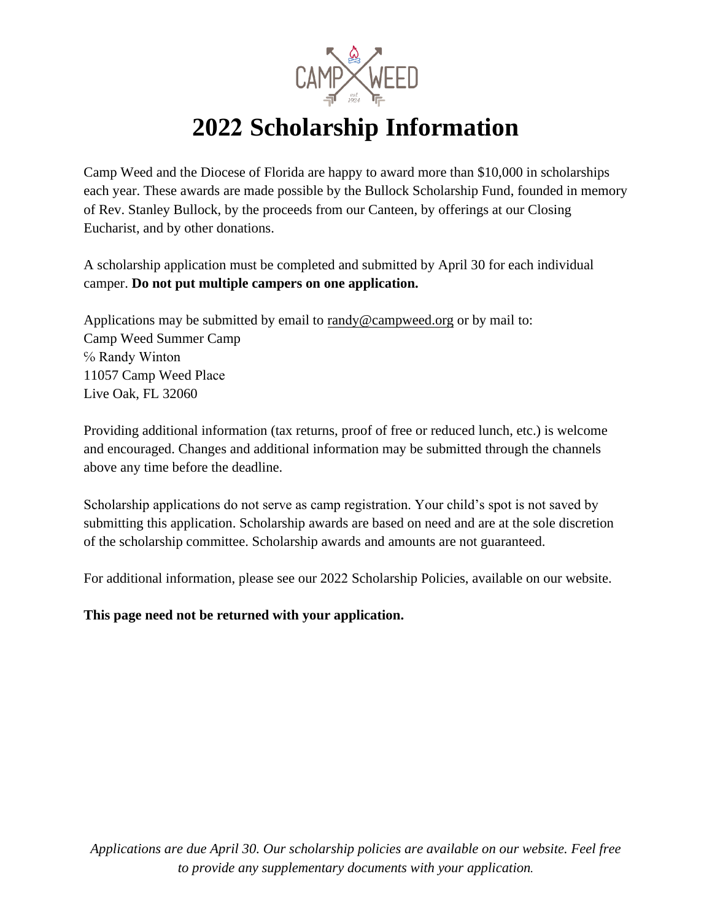

# **2022 Scholarship Information**

Camp Weed and the Diocese of Florida are happy to award more than \$10,000 in scholarships each year. These awards are made possible by the Bullock Scholarship Fund, founded in memory of Rev. Stanley Bullock, by the proceeds from our Canteen, by offerings at our Closing Eucharist, and by other donations.

A scholarship application must be completed and submitted by April 30 for each individual camper. **Do not put multiple campers on one application.** 

Applications may be submitted by email to randy[@campweed.org](mailto:campermail@campweed.org) or by mail to: Camp Weed Summer Camp ℅ Randy Winton 11057 Camp Weed Place Live Oak, FL 32060

Providing additional information (tax returns, proof of free or reduced lunch, etc.) is welcome and encouraged. Changes and additional information may be submitted through the channels above any time before the deadline.

Scholarship applications do not serve as camp registration. Your child's spot is not saved by submitting this application. Scholarship awards are based on need and are at the sole discretion of the scholarship committee. Scholarship awards and amounts are not guaranteed.

For additional information, please see our 2022 Scholarship Policies, available on our website.

**This page need not be returned with your application.**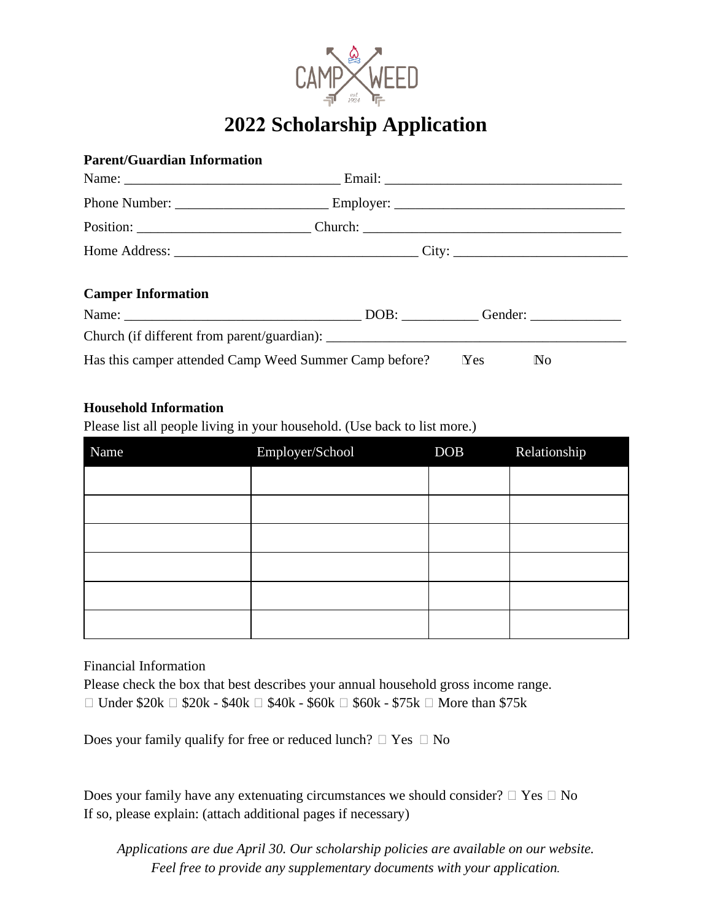

# **2022 Scholarship Application**

## **Parent/Guardian Information**

| <b>Camper Information</b> |  |
|---------------------------|--|

| Name:                                                  | DOB: | Gender: |                         |
|--------------------------------------------------------|------|---------|-------------------------|
| Church (if different from parent/guardian):            |      |         |                         |
| Has this camper attended Camp Weed Summer Camp before? |      | Yes     | $\mathbb{N}^{\text{o}}$ |

#### **Household Information**

Please list all people living in your household. (Use back to list more.)

| Name | Employer/School | <b>DOB</b> | Relationship |
|------|-----------------|------------|--------------|
|      |                 |            |              |
|      |                 |            |              |
|      |                 |            |              |
|      |                 |            |              |
|      |                 |            |              |
|      |                 |            |              |

## Financial Information

Please check the box that best describes your annual household gross income range.  $\Box$  Under \$20k  $\Box$  \$20k - \$40k  $\Box$  \$40k - \$60k  $\Box$  \$60k - \$75k  $\Box$  More than \$75k

Does your family qualify for free or reduced lunch?  $\Box$  Yes  $\Box$  No

Does your family have any extenuating circumstances we should consider?  $\Box$  Yes  $\Box$  No If so, please explain: (attach additional pages if necessary)

*Applications are due April 30. Our scholarship policies are available on our website. Feel free to provide any supplementary documents with your application.*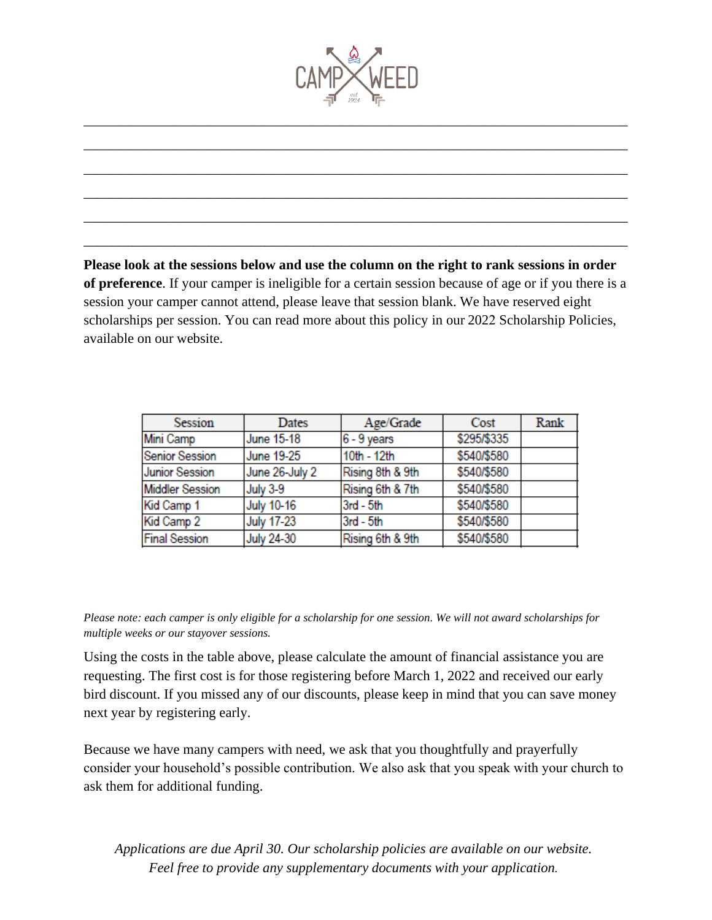

\_\_\_\_\_\_\_\_\_\_\_\_\_\_\_\_\_\_\_\_\_\_\_\_\_\_\_\_\_\_\_\_\_\_\_\_\_\_\_\_\_\_\_\_\_\_\_\_\_\_\_\_\_\_\_\_\_\_\_\_\_\_\_\_\_\_\_\_\_\_\_\_\_\_\_\_\_\_

\_\_\_\_\_\_\_\_\_\_\_\_\_\_\_\_\_\_\_\_\_\_\_\_\_\_\_\_\_\_\_\_\_\_\_\_\_\_\_\_\_\_\_\_\_\_\_\_\_\_\_\_\_\_\_\_\_\_\_\_\_\_\_\_\_\_\_\_\_\_\_\_\_\_\_\_\_\_

\_\_\_\_\_\_\_\_\_\_\_\_\_\_\_\_\_\_\_\_\_\_\_\_\_\_\_\_\_\_\_\_\_\_\_\_\_\_\_\_\_\_\_\_\_\_\_\_\_\_\_\_\_\_\_\_\_\_\_\_\_\_\_\_\_\_\_\_\_\_\_\_\_\_\_\_\_\_

\_\_\_\_\_\_\_\_\_\_\_\_\_\_\_\_\_\_\_\_\_\_\_\_\_\_\_\_\_\_\_\_\_\_\_\_\_\_\_\_\_\_\_\_\_\_\_\_\_\_\_\_\_\_\_\_\_\_\_\_\_\_\_\_\_\_\_\_\_\_\_\_\_\_\_\_\_\_

\_\_\_\_\_\_\_\_\_\_\_\_\_\_\_\_\_\_\_\_\_\_\_\_\_\_\_\_\_\_\_\_\_\_\_\_\_\_\_\_\_\_\_\_\_\_\_\_\_\_\_\_\_\_\_\_\_\_\_\_\_\_\_\_\_\_\_\_\_\_\_\_\_\_\_\_\_\_

\_\_\_\_\_\_\_\_\_\_\_\_\_\_\_\_\_\_\_\_\_\_\_\_\_\_\_\_\_\_\_\_\_\_\_\_\_\_\_\_\_\_\_\_\_\_\_\_\_\_\_\_\_\_\_\_\_\_\_\_\_\_\_\_\_\_\_\_\_\_\_\_\_\_\_\_\_\_

**Please look at the sessions below and use the column on the right to rank sessions in order of preference**. If your camper is ineligible for a certain session because of age or if you there is a session your camper cannot attend, please leave that session blank. We have reserved eight scholarships per session. You can read more about this policy in our 2022 Scholarship Policies, available on our website.

| Session                | Dates             | Age/Grade        | Cost        | Rank |
|------------------------|-------------------|------------------|-------------|------|
| Mini Camp              | June 15-18        | $6 - 9$ years    | \$295/\$335 |      |
| <b>Senior Session</b>  | June 19-25        | 10th - 12th      | \$540/\$580 |      |
| <b>Junior Session</b>  | June 26-July 2    | Rising 8th & 9th | \$540/\$580 |      |
| <b>Middler Session</b> | July 3-9          | Rising 6th & 7th | \$540/\$580 |      |
| Kid Camp 1             | <b>July 10-16</b> | 3rd - 5th        | \$540/\$580 |      |
| Kid Camp 2             | <b>July 17-23</b> | 3rd - 5th        | \$540/\$580 |      |
| <b>Final Session</b>   | July 24-30        | Rising 6th & 9th | \$540/\$580 |      |

*Please note: each camper is only eligible for a scholarship for one session. We will not award scholarships for multiple weeks or our stayover sessions.* 

Using the costs in the table above, please calculate the amount of financial assistance you are requesting. The first cost is for those registering before March 1, 2022 and received our early bird discount. If you missed any of our discounts, please keep in mind that you can save money next year by registering early.

Because we have many campers with need, we ask that you thoughtfully and prayerfully consider your household's possible contribution. We also ask that you speak with your church to ask them for additional funding.

*Applications are due April 30. Our scholarship policies are available on our website. Feel free to provide any supplementary documents with your application.*